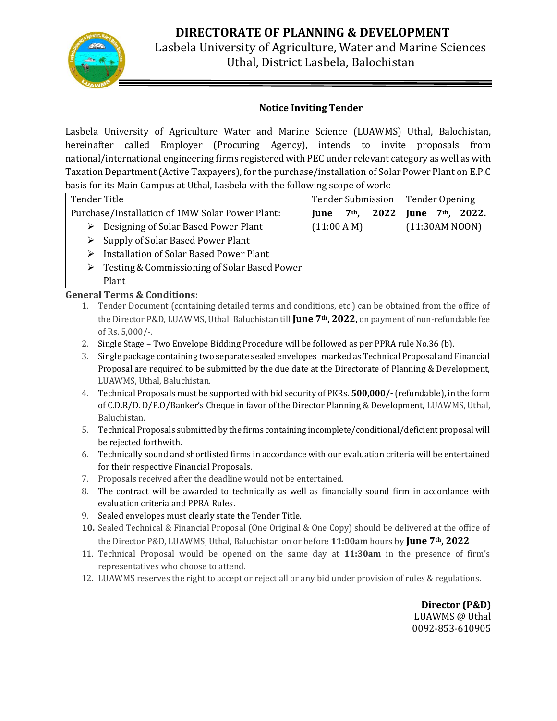

Lasbela University of Agriculture, Water and Marine Sciences Uthal, District Lasbela, Balochistan

#### **Notice Inviting Tender**

Lasbela University of Agriculture Water and Marine Science (LUAWMS) Uthal, Balochistan, hereinafter called Employer (Procuring Agency), intends to invite proposals from national/international engineering firms registered with PEC under relevant category as well as with Taxation Department (Active Taxpayers), for the purchase/installation of Solar Power Plant on E.P.C basis for its Main Campus at Uthal, Lasbela with the following scope of work:

| <b>Tender Title</b>                               |                       | <b>Tender Submission</b> |      | <b>Tender Opening</b> |         |                |
|---------------------------------------------------|-----------------------|--------------------------|------|-----------------------|---------|----------------|
| Purchase/Installation of 1MW Solar Power Plant:   |                       | 7 <sup>th</sup> ,        | 2022 | June                  | $7th$ . | 2022.          |
| Designing of Solar Based Power Plant<br>➤         | $(11:00 \text{ A M})$ |                          |      |                       |         | (11:30AM N00N) |
| Supply of Solar Based Power Plant                 |                       |                          |      |                       |         |                |
| <b>Installation of Solar Based Power Plant</b>    |                       |                          |      |                       |         |                |
| Testing & Commissioning of Solar Based Power<br>➤ |                       |                          |      |                       |         |                |
| Plant                                             |                       |                          |      |                       |         |                |

#### **General Terms & Conditions:**

- 1. Tender Document (containing detailed terms and conditions, etc.) can be obtained from the office of the Director P&D, LUAWMS, Uthal, Baluchistan till **June 7th, 2022,** on payment of non-refundable fee of Rs. 5,000/-.
- 2. Single Stage Two Envelope Bidding Procedure will be followed as per PPRA rule No.36 (b).
- 3. Single package containing two separate sealed envelopes\_ marked as Technical Proposal and Financial Proposal are required to be submitted by the due date at the Directorate of Planning & Development, LUAWMS, Uthal, Baluchistan.
- 4. Technical Proposals must be supported with bid security of PKRs. **500,000/-**(refundable), in the form of C.D.R/D. D/P.O/Banker's Cheque in favor of the Director Planning & Development, LUAWMS, Uthal, Baluchistan.
- 5. Technical Proposals submitted by the firms containing incomplete/conditional/deficient proposal will be rejected forthwith.
- 6. Technically sound and shortlisted firms in accordance with our evaluation criteria will be entertained for their respective Financial Proposals.
- 7. Proposals received after the deadline would not be entertained.
- 8. The contract will be awarded to technically as well as financially sound firm in accordance with evaluation criteria and PPRA Rules.
- 9. Sealed envelopes must clearly state the Tender Title.
- **10.** Sealed Technical & Financial Proposal (One Original & One Copy) should be delivered at the office of the Director P&D, LUAWMS, Uthal, Baluchistan on or before **11:00am** hours by **June 7th, 2022**
- 11. Technical Proposal would be opened on the same day at **11:30am** in the presence of firm's representatives who choose to attend.
- 12. LUAWMS reserves the right to accept or reject all or any bid under provision of rules & regulations.

**Director (P&D)** LUAWMS @ Uthal 0092-853-610905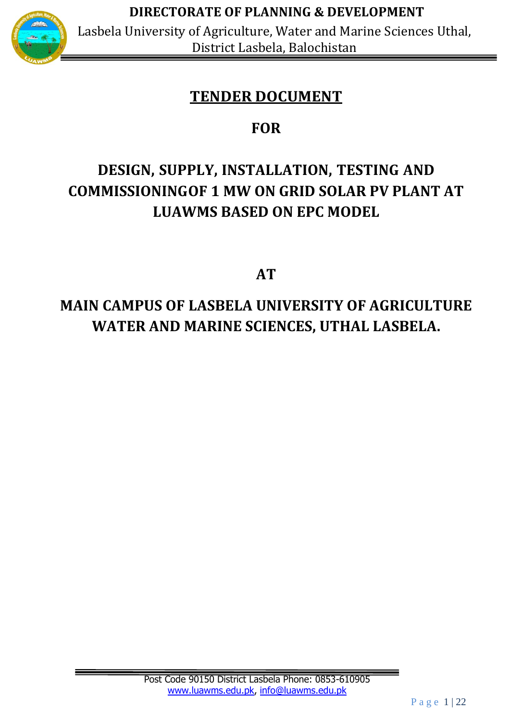

Lasbela University of Agriculture, Water and Marine Sciences Uthal, District Lasbela, Balochistan

# **TENDER DOCUMENT**

# **FOR**

# **DESIGN, SUPPLY, INSTALLATION, TESTING AND COMMISSIONINGOF 1 MW ON GRID SOLAR PV PLANT AT LUAWMS BASED ON EPC MODEL**

**AT**

# **MAIN CAMPUS OF LASBELA UNIVERSITY OF AGRICULTURE WATER AND MARINE SCIENCES, UTHAL LASBELA.**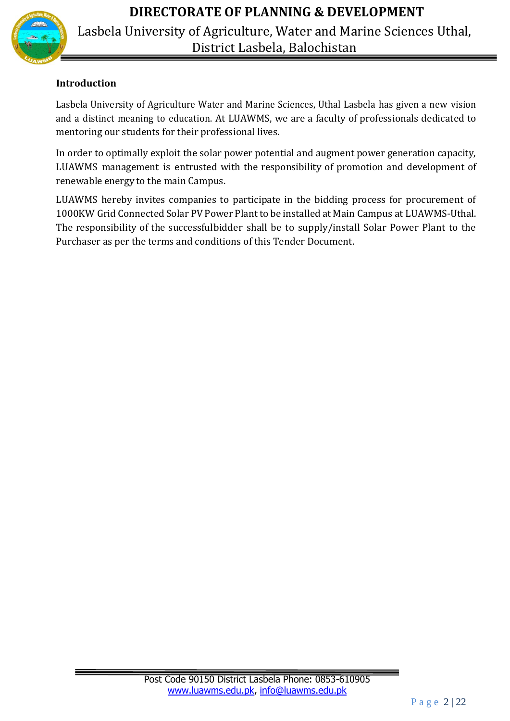

Lasbela University of Agriculture, Water and Marine Sciences Uthal, District Lasbela, Balochistan

## **Introduction**

Lasbela University of Agriculture Water and Marine Sciences, Uthal Lasbela has given a new vision and a distinct meaning to education. At LUAWMS, we are a faculty of professionals dedicated to mentoring our students for their professional lives.

In order to optimally exploit the solar power potential and augment power generation capacity, LUAWMS management is entrusted with the responsibility of promotion and development of renewable energy to the main Campus.

LUAWMS hereby invites companies to participate in the bidding process for procurement of 1000KW Grid Connected Solar PV Power Plant to be installed at Main Campus at LUAWMS-Uthal. The responsibility of the successfulbidder shall be to supply/install Solar Power Plant to the Purchaser as per the terms and conditions of this Tender Document.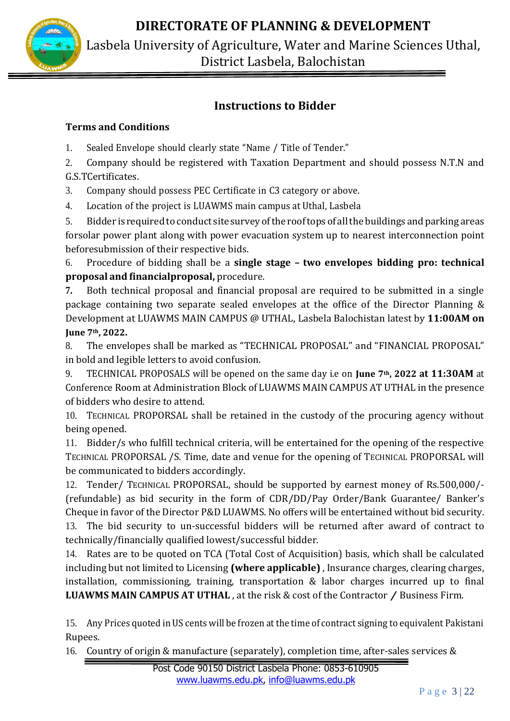

Lasbela University of Agriculture, Water and Marine Sciences Uthal, District Lasbela, Balochistan

## **Instructions to Bidder**

## **Terms and Conditions**

- 1. Sealed Envelope should clearly state "Name / Title of Tender."
- 2. Company should be registered with Taxation Department and should possess N.T.N and G.S.TCertificates.
- 3. Company should possess PEC Certificate in C3 category or above.
- 4. Location of the project is LUAWMS main campus at Uthal, Lasbela

5. Bidder is required to conduct site survey ofthe rooftops of allthe buildings and parking areas forsolar power plant along with power evacuation system up to nearest interconnection point beforesubmission of their respective bids.

6. Procedure of bidding shall be a **single stage – two envelopes bidding pro: technical proposal and financialproposal,** procedure.

**7.** Both technical proposal and financial proposal are required to be submitted in a single package containing two separate sealed envelopes at the office of the Director Planning & Development at LUAWMS MAIN CAMPUS @ UTHAL, Lasbela Balochistan latest by **11:00AM on June 7th, 2022.**

8. The envelopes shall be marked as "TECHNICAL PROPOSAL" and "FINANCIAL PROPOSAL" in bold and legible letters to avoid confusion.

9. TECHNICAL PROPOSALS will be opened on the same day i.e on **June 7th, 2022 at 11:30AM** at Conference Room at Administration Block of LUAWMS MAIN CAMPUS AT UTHAL in the presence of bidders who desire to attend.

10. TECHNICAL PROPORSAL shall be retained in the custody of the procuring agency without being opened.

11. Bidder/s who fulfill technical criteria, will be entertained for the opening of the respective TECHNICAL PROPORSAL /S. Time, date and venue for the opening of TECHNICAL PROPORSAL will be communicated to bidders accordingly.

12. Tender/ TECHNICAL PROPORSAL, should be supported by earnest money of Rs.500,000/- (refundable) as bid security in the form of CDR/DD/Pay Order/Bank Guarantee/ Banker's Cheque in favor of the Director P&D LUAWMS. No offers will be entertained without bid security. 13. The bid security to un-successful bidders will be returned after award of contract to technically/financially qualified lowest/successful bidder.

14. Rates are to be quoted on TCA (Total Cost of Acquisition) basis, which shall be calculated including but not limited to Licensing **(where applicable)** , Insurance charges, clearing charges, installation, commissioning, training, transportation & labor charges incurred up to final **LUAWMS MAIN CAMPUS AT UTHAL** , at the risk & cost of the Contractor / Business Firm.

15. Any Prices quoted in US cents will be frozen at the time of contract signing to equivalent Pakistani Rupees.

16. Country of origin & manufacture (separately), completion time, after-sales services &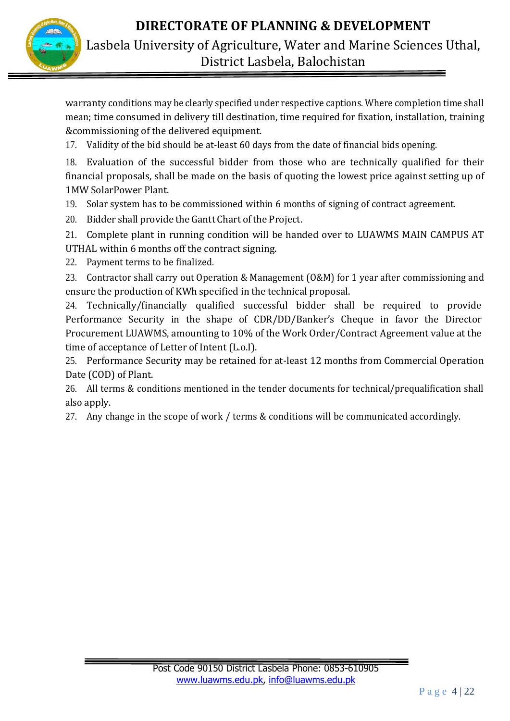

Lasbela University of Agriculture, Water and Marine Sciences Uthal, District Lasbela, Balochistan

warranty conditions may be clearly specified under respective captions. Where completion time shall mean; time consumed in delivery till destination, time required for fixation, installation, training &commissioning of the delivered equipment.

17. Validity of the bid should be at-least 60 days from the date of financial bids opening.

18. Evaluation of the successful bidder from those who are technically qualified for their financial proposals, shall be made on the basis of quoting the lowest price against setting up of 1MW SolarPower Plant.

- 19. Solar system has to be commissioned within 6 months of signing of contract agreement.
- 20. Bidder shall provide the Gantt Chart of the Project.

21. Complete plant in running condition will be handed over to LUAWMS MAIN CAMPUS AT UTHAL within 6 months off the contract signing.

22. Payment terms to be finalized.

23. Contractor shall carry out Operation & Management (O&M) for 1 year after commissioning and ensure the production of KWh specified in the technical proposal.

24. Technically/financially qualified successful bidder shall be required to provide Performance Security in the shape of CDR/DD/Banker's Cheque in favor the Director Procurement LUAWMS, amounting to 10% of the Work Order/Contract Agreement value at the time of acceptance of Letter of Intent (L.o.I).

25. Performance Security may be retained for at-least 12 months from Commercial Operation Date (COD) of Plant.

26. All terms & conditions mentioned in the tender documents for technical/prequalification shall also apply.

27. Any change in the scope of work / terms & conditions will be communicated accordingly.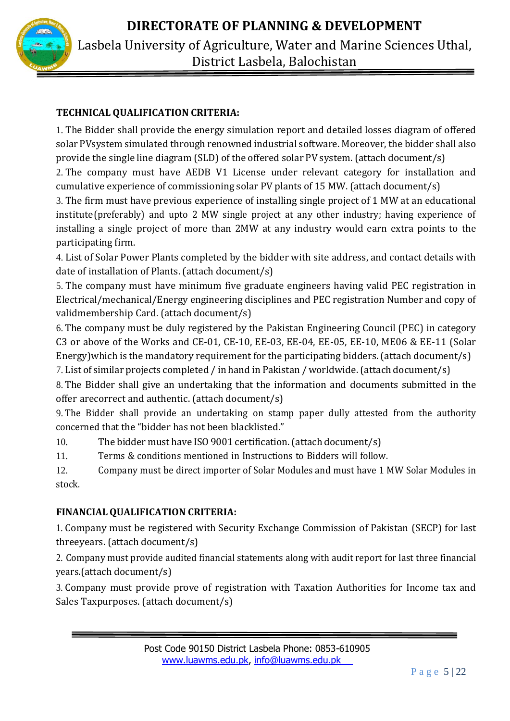

## **TECHNICAL QUALIFICATION CRITERIA:**

1. The Bidder shall provide the energy simulation report and detailed losses diagram of offered solar PVsystem simulated through renowned industrial software. Moreover, the bidder shall also provide the single line diagram (SLD) of the offered solar PV system. (attach document/s)

2. The company must have AEDB V1 License under relevant category for installation and cumulative experience of commissioning solar PV plants of 15 MW. (attach document/s)

3. The firm must have previous experience of installing single project of 1 MW at an educational institute(preferably) and upto 2 MW single project at any other industry; having experience of installing a single project of more than 2MW at any industry would earn extra points to the participating firm.

4. List of Solar Power Plants completed by the bidder with site address, and contact details with date of installation of Plants. (attach document/s)

5. The company must have minimum five graduate engineers having valid PEC registration in Electrical/mechanical/Energy engineering disciplines and PEC registration Number and copy of validmembership Card. (attach document/s)

6. The company must be duly registered by the Pakistan Engineering Council (PEC) in category C3 or above of the Works and CE-01, CE-10, EE-03, EE-04, EE-05, EE-10, ME06 & EE-11 (Solar Energy)which is the mandatory requirement for the participating bidders. (attach document/s)

7. List of similar projects completed / in hand in Pakistan / worldwide. (attach document/s)

8. The Bidder shall give an undertaking that the information and documents submitted in the offer arecorrect and authentic. (attach document/s)

9. The Bidder shall provide an undertaking on stamp paper dully attested from the authority concerned that the "bidder has not been blacklisted."

10. The bidder must have ISO 9001 certification.(attach document/s)

11. Terms & conditions mentioned in Instructions to Bidders will follow.

12. Company must be direct importer of Solar Modules and must have 1 MW Solar Modules in stock.

## **FINANCIALQUALIFICATION CRITERIA:**

1. Company must be registered with Security Exchange Commission of Pakistan (SECP) for last threeyears. (attach document/s)

2. Company must provide audited financial statements along with audit report for last three financial years.(attach document/s)

3. Company must provide prove of registration with Taxation Authorities for Income tax and Sales Taxpurposes. (attach document/s)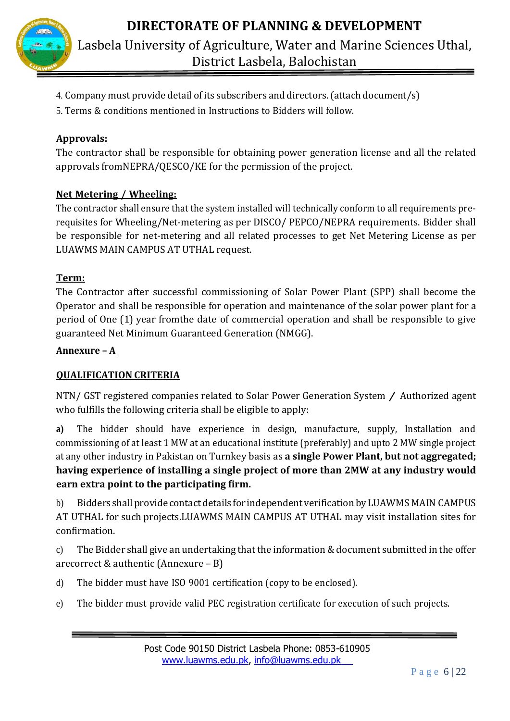

- 4. Company must provide detail of its subscribers and directors.(attach document/s)
- 5. Terms & conditions mentioned in Instructions to Bidders will follow.

#### **Approvals:**

The contractor shall be responsible for obtaining power generation license and all the related approvals fromNEPRA/QESCO/KE for the permission of the project.

#### **Net Metering / Wheeling:**

The contractor shall ensure that the system installed will technically conform to all requirements prerequisites for Wheeling/Net-metering as per DISCO/ PEPCO/NEPRA requirements. Bidder shall be responsible for net-metering and all related processes to get Net Metering License as per LUAWMS MAIN CAMPUS AT UTHAL request.

#### **Term:**

The Contractor after successful commissioning of Solar Power Plant (SPP) shall become the Operator and shall be responsible for operation and maintenance of the solar power plant for a period of One (1) year fromthe date of commercial operation and shall be responsible to give guaranteed Net Minimum Guaranteed Generation (NMGG).

#### **Annexure – A**

#### **QUALIFICATION CRITERIA**

NTN/ GST registered companies related to Solar Power Generation System / Authorized agent who fulfills the following criteria shall be eligible to apply:

**a)** The bidder should have experience in design, manufacture, supply, Installation and commissioning of at least 1 MW at an educational institute (preferably) and upto 2 MW single project at any other industry in Pakistan on Turnkey basis as **a single Power Plant, but not aggregated; having experience of installing a single project of more than 2MW at any industry would earn extra point to the participating firm.**

b) Bidders shall provide contact details for independent verification by LUAWMS MAIN CAMPUS AT UTHAL for such projects.LUAWMS MAIN CAMPUS AT UTHAL may visit installation sites for confirmation.

c) The Bidder shall give an undertaking that the information & document submitted in the offer arecorrect & authentic (Annexure – B)

- d) The bidder must have ISO 9001 certification (copy to be enclosed).
- e) The bidder must provide valid PEC registration certificate for execution of such projects.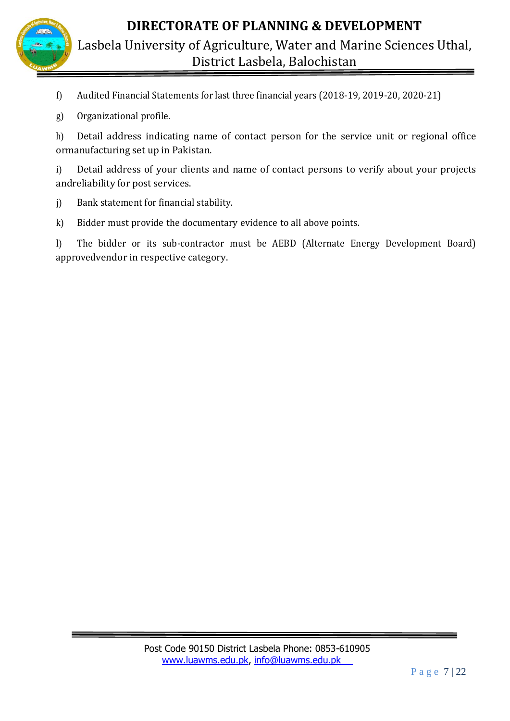

Lasbela University of Agriculture, Water and Marine Sciences Uthal, District Lasbela, Balochistan

- f) Audited Financial Statements for last three financial years (2018-19, 2019-20, 2020-21)
- g) Organizational profile.

h) Detail address indicating name of contact person for the service unit or regional office ormanufacturing set up in Pakistan.

i) Detail address of your clients and name of contact persons to verify about your projects andreliability for post services.

- j) Bank statement for financial stability.
- k) Bidder must provide the documentary evidence to all above points.

l) The bidder or its sub-contractor must be AEBD (Alternate Energy Development Board) approvedvendor in respective category.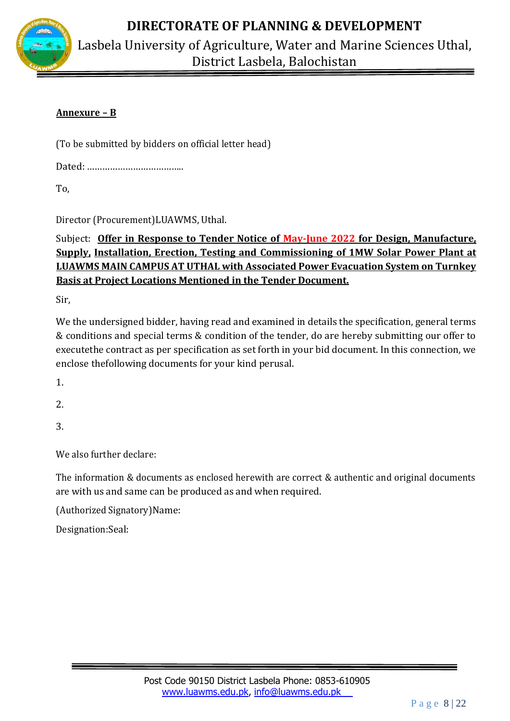

Lasbela University of Agriculture, Water and Marine Sciences Uthal, District Lasbela, Balochistan

### **Annexure – B**

(To be submitted by bidders on official letter head)

Dated: ………………………………..

To,

Director (Procurement)LUAWMS, Uthal.

## Subject: **Offer in Response to Tender Notice of May-June 2022 for Design, Manufacture, Supply, Installation, Erection, Testing and Commissioning of 1MW Solar Power Plant at LUAWMS MAIN CAMPUS AT UTHAL with Associated Power Evacuation System on Turnkey Basis at Project Locations Mentioned in the Tender Document.**

Sir,

We the undersigned bidder, having read and examined in details the specification, general terms & conditions and special terms & condition of the tender, do are hereby submitting our offer to executethe contract as per specification as set forth in your bid document. In this connection, we enclose thefollowing documents for your kind perusal.

1.

2.

3.

We also further declare:

The information & documents as enclosed herewith are correct & authentic and original documents are with us and same can be produced as and when required.

(Authorized Signatory)Name:

Designation:Seal: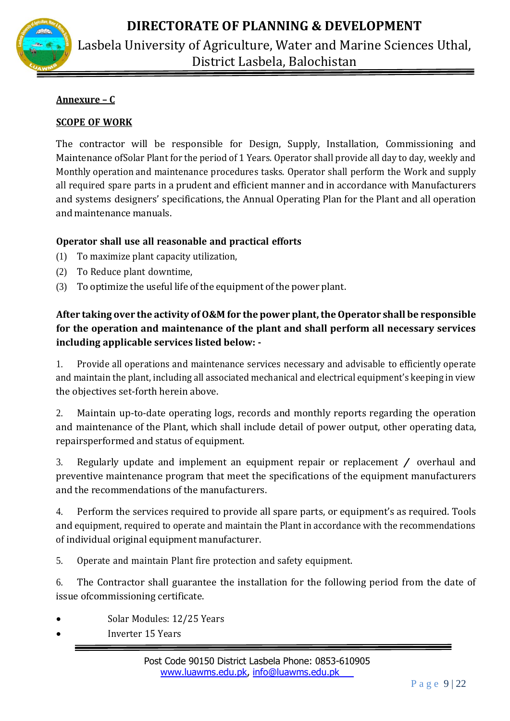

Lasbela University of Agriculture, Water and Marine Sciences Uthal, District Lasbela, Balochistan

#### **Annexure – C**

#### **SCOPE OF WORK**

The contractor will be responsible for Design, Supply, Installation, Commissioning and Maintenance ofSolar Plant for the period of 1 Years. Operator shall provide all day to day, weekly and Monthly operation and maintenance procedures tasks. Operator shall perform the Work and supply all required spare parts in a prudent and efficient manner and in accordance with Manufacturers and systems designers' specifications, the Annual Operating Plan for the Plant and all operation and maintenance manuals.

#### **Operator shall use all reasonable and practical efforts**

- (1) To maximize plant capacity utilization,
- (2) To Reduce plant downtime,
- (3) To optimize the useful life of the equipment of the power plant.

## **After taking over the activity of O&M for the power plant, the Operator shall be responsible for the operation and maintenance of the plant and shall perform all necessary services including applicable services listed below: -**

1. Provide all operations and maintenance services necessary and advisable to efficiently operate and maintain the plant, including all associated mechanical and electrical equipment's keeping in view the objectives set-forth herein above.

2. Maintain up-to-date operating logs, records and monthly reports regarding the operation and maintenance of the Plant, which shall include detail of power output, other operating data, repairsperformed and status of equipment.

3. Regularly update and implement an equipment repair or replacement / overhaul and preventive maintenance program that meet the specifications of the equipment manufacturers and the recommendations of the manufacturers.

4. Perform the services required to provide all spare parts, or equipment's as required. Tools and equipment, required to operate and maintain the Plant in accordance with the recommendations of individual original equipment manufacturer.

5. Operate and maintain Plant fire protection and safety equipment.

6. The Contractor shall guarantee the installation for the following period from the date of issue ofcommissioning certificate.

- Solar Modules: 12/25 Years
- Inverter 15 Years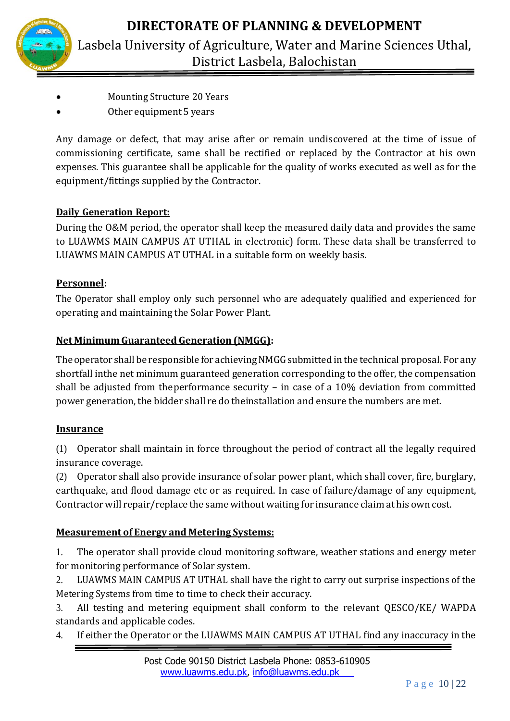

- Mounting Structure 20 Years
- Other equipment 5 years

Any damage or defect, that may arise after or remain undiscovered at the time of issue of commissioning certificate, same shall be rectified or replaced by the Contractor at his own expenses. This guarantee shall be applicable for the quality of works executed as well as for the equipment/fittings supplied by the Contractor.

## **Daily Generation Report:**

During the O&M period, the operator shall keep the measured daily data and provides the same to LUAWMS MAIN CAMPUS AT UTHAL in electronic) form. These data shall be transferred to LUAWMS MAIN CAMPUS AT UTHAL in a suitable form on weekly basis.

## **Personnel:**

The Operator shall employ only such personnel who are adequately qualified and experienced for operating and maintaining the Solar Power Plant.

## **Net Minimum Guaranteed Generation (NMGG):**

The operator shall be responsible for achieving NMGG submitted in the technical proposal. For any shortfall inthe net minimum guaranteed generation corresponding to the offer, the compensation shall be adjusted from theperformance security – in case of a 10% deviation from committed power generation, the bidder shall re do theinstallation and ensure the numbers are met.

## **Insurance**

(1) Operator shall maintain in force throughout the period of contract all the legally required insurance coverage.

(2) Operator shall also provide insurance of solar power plant, which shall cover, fire, burglary, earthquake, and flood damage etc or as required. In case of failure/damage of any equipment, Contractor will repair/replace the same without waiting for insurance claim at his own cost.

## **Measurement of Energy and Metering Systems:**

1. The operator shall provide cloud monitoring software, weather stations and energy meter for monitoring performance of Solar system.

2. LUAWMS MAIN CAMPUS AT UTHAL shall have the right to carry out surprise inspections of the Metering Systems from time to time to check their accuracy.

3. All testing and metering equipment shall conform to the relevant QESCO/KE/ WAPDA standards and applicable codes.

4. If either the Operator or the LUAWMS MAIN CAMPUS AT UTHAL find any inaccuracy in the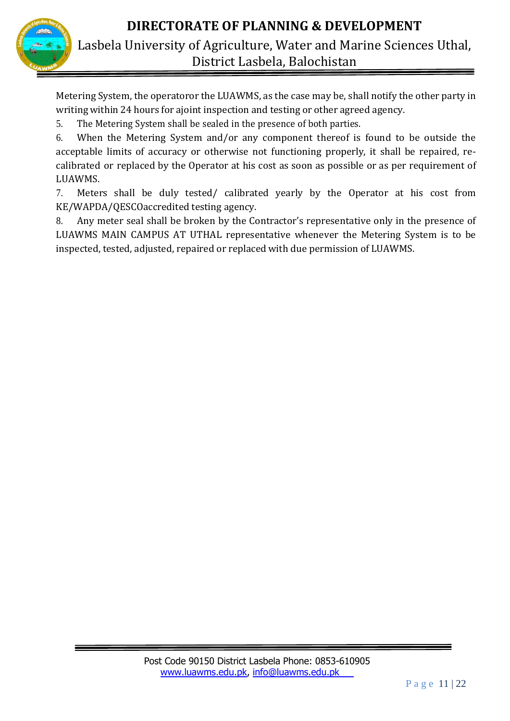



Metering System, the operatoror the LUAWMS, as the case may be, shall notify the other party in writing within 24 hours for ajoint inspection and testing or other agreed agency.

5. The Metering System shall be sealed in the presence of both parties.

6. When the Metering System and/or any component thereof is found to be outside the acceptable limits of accuracy or otherwise not functioning properly, it shall be repaired, recalibrated or replaced by the Operator at his cost as soon as possible or as per requirement of LUAWMS.

7. Meters shall be duly tested/ calibrated yearly by the Operator at his cost from KE/WAPDA/QESCOaccredited testing agency.

8. Any meter seal shall be broken by the Contractor's representative only in the presence of LUAWMS MAIN CAMPUS AT UTHAL representative whenever the Metering System is to be inspected, tested, adjusted, repaired or replaced with due permission of LUAWMS.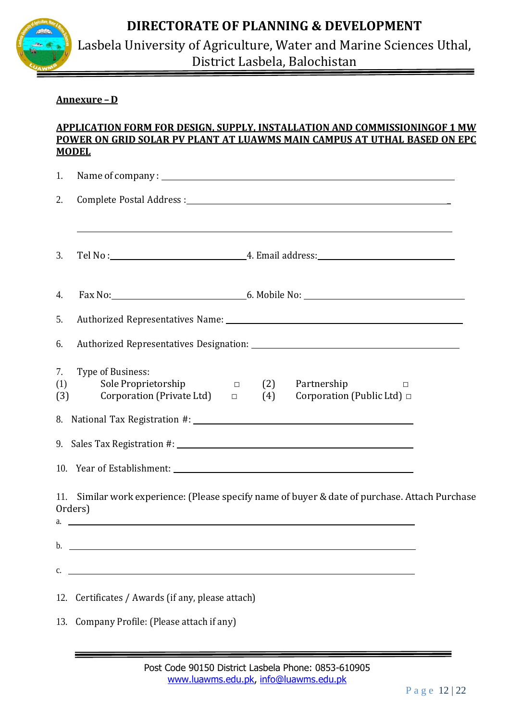

Lasbela University of Agriculture, Water and Marine Sciences Uthal, District Lasbela, Balochistan

#### **Annexure –D**

#### **APPLICATION FORM FOR DESIGN, SUPPLY, INSTALLATION AND COMMISSIONINGOF 1 MW POWER ON GRID SOLAR PV PLANT AT LUAWMS MAIN CAMPUS AT UTHAL BASED ON EPC MODEL**

| 1.               |                                                                                                                                                   |  |
|------------------|---------------------------------------------------------------------------------------------------------------------------------------------------|--|
| 2.               |                                                                                                                                                   |  |
| 3.               |                                                                                                                                                   |  |
| 4.               |                                                                                                                                                   |  |
| 5.               |                                                                                                                                                   |  |
| 6.               |                                                                                                                                                   |  |
| 7.<br>(1)<br>(3) | Type of Business:<br>Sole Proprietorship<br>(2)<br>Partnership<br>$\Box$<br>Corporation (Private Ltd) $\Box$<br>Corporation (Public Ltd) □<br>(4) |  |
|                  |                                                                                                                                                   |  |
|                  |                                                                                                                                                   |  |
|                  |                                                                                                                                                   |  |
|                  | 11. Similar work experience: (Please specify name of buyer & date of purchase. Attach Purchase<br>Orders)<br>$a.$ $\overline{\phantom{a}}$        |  |
|                  | $\mathbf{b}$ .                                                                                                                                    |  |
| c.               |                                                                                                                                                   |  |
|                  | 12. Certificates / Awards (if any, please attach)                                                                                                 |  |
|                  | 13. Company Profile: (Please attach if any)                                                                                                       |  |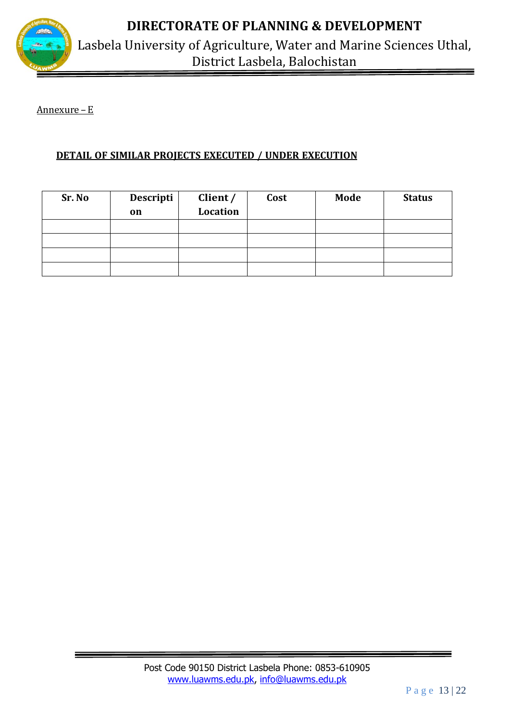

Lasbela University of Agriculture, Water and Marine Sciences Uthal, District Lasbela, Balochistan

Annexure –E

### **DETAIL OF SIMILAR PROJECTS EXECUTED / UNDER EXECUTION**

| Sr. No | Descripti<br>on | Client /<br>Location | Cost | Mode | <b>Status</b> |
|--------|-----------------|----------------------|------|------|---------------|
|        |                 |                      |      |      |               |
|        |                 |                      |      |      |               |
|        |                 |                      |      |      |               |
|        |                 |                      |      |      |               |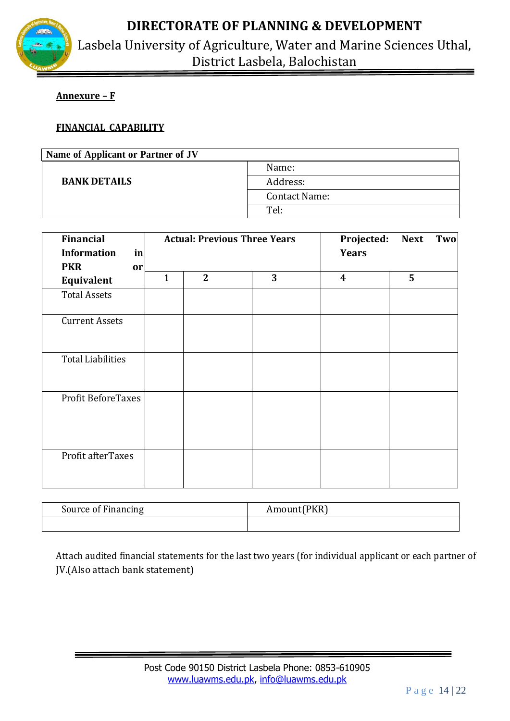

Lasbela University of Agriculture, Water and Marine Sciences Uthal, District Lasbela, Balochistan

#### **Annexure – F**

#### **FINANCIAL CAPABILITY**

| Name of Applicant or Partner of JV |               |  |
|------------------------------------|---------------|--|
|                                    | Name:         |  |
| <b>BANK DETAILS</b>                | Address:      |  |
|                                    | Contact Name: |  |
|                                    | Tel:          |  |

| <b>Financial</b><br><b>Information</b><br>in |              | <b>Actual: Previous Three Years</b> |   | Projected:<br><b>Next</b><br>Two<br><b>Years</b> |   |
|----------------------------------------------|--------------|-------------------------------------|---|--------------------------------------------------|---|
| <b>PKR</b><br>or                             |              |                                     |   |                                                  |   |
| Equivalent                                   | $\mathbf{1}$ | $\overline{2}$                      | 3 | $\boldsymbol{4}$                                 | 5 |
| <b>Total Assets</b>                          |              |                                     |   |                                                  |   |
| <b>Current Assets</b>                        |              |                                     |   |                                                  |   |
| <b>Total Liabilities</b>                     |              |                                     |   |                                                  |   |
| <b>Profit BeforeTaxes</b>                    |              |                                     |   |                                                  |   |
| Profit afterTaxes                            |              |                                     |   |                                                  |   |

| Source of Financing | Amount(PKR) |
|---------------------|-------------|
|                     |             |

Attach audited financial statements for the last two years (for individual applicant or each partner of JV.(Also attach bank statement)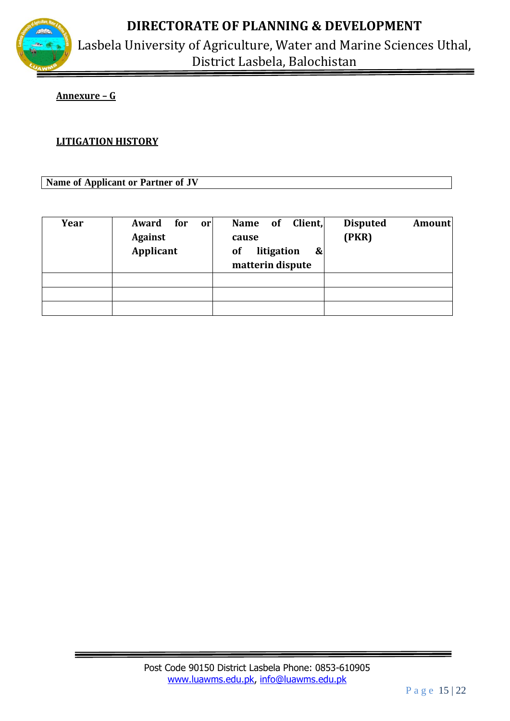

Lasbela University of Agriculture, Water and Marine Sciences Uthal, District Lasbela, Balochistan

#### **Annexure – G**

#### **LITIGATION HISTORY**

**Name of Applicant or Partner of JV**

| Year | Award for<br>or<br><b>Against</b><br>Applicant | Client,<br>Name of<br>cause<br>litigation<br>of<br>&<br>matterin dispute | <b>Disputed</b><br><b>Amount</b><br>(PKR) |
|------|------------------------------------------------|--------------------------------------------------------------------------|-------------------------------------------|
|      |                                                |                                                                          |                                           |
|      |                                                |                                                                          |                                           |
|      |                                                |                                                                          |                                           |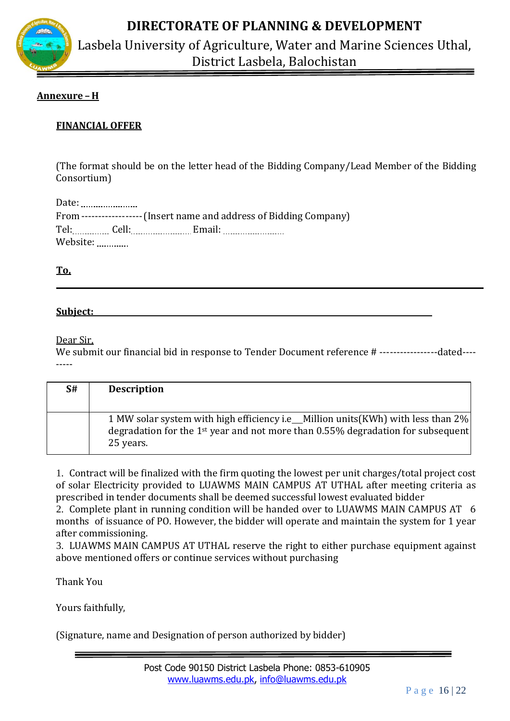

Lasbela University of Agriculture, Water and Marine Sciences Uthal, District Lasbela, Balochistan

#### **Annexure – H**

#### **FINANCIAL OFFER**

(The format should be on the letter head of the Bidding Company/Lead Member of the Bidding Consortium)

Date: ........................ From ------------------(Insert name and address of Bidding Company) Tel: Cell: Email: Website: Website:

**To,**

#### **Subject:**

Dear Sir,

We submit our financial bid in response to Tender Document reference # ------------------dated---------

| S# | <b>Description</b>                                                                                                                                                                              |
|----|-------------------------------------------------------------------------------------------------------------------------------------------------------------------------------------------------|
|    | 1 MW solar system with high efficiency i.e_Million units (KWh) with less than 2%<br>degradation for the 1 <sup>st</sup> year and not more than $0.55\%$ degradation for subsequent<br>25 years. |

1. Contract will be finalized with the firm quoting the lowest per unit charges/total project cost of solar Electricity provided to LUAWMS MAIN CAMPUS AT UTHAL after meeting criteria as prescribed in tender documents shall be deemed successful lowest evaluated bidder

2. Complete plant in running condition will be handed over to LUAWMS MAIN CAMPUS AT 6 months of issuance of PO. However, the bidder will operate and maintain the system for 1 year after commissioning.

3. LUAWMS MAIN CAMPUS AT UTHAL reserve the right to either purchase equipment against above mentioned offers or continue services without purchasing

Thank You

Yours faithfully,

(Signature, name and Designation of person authorized by bidder)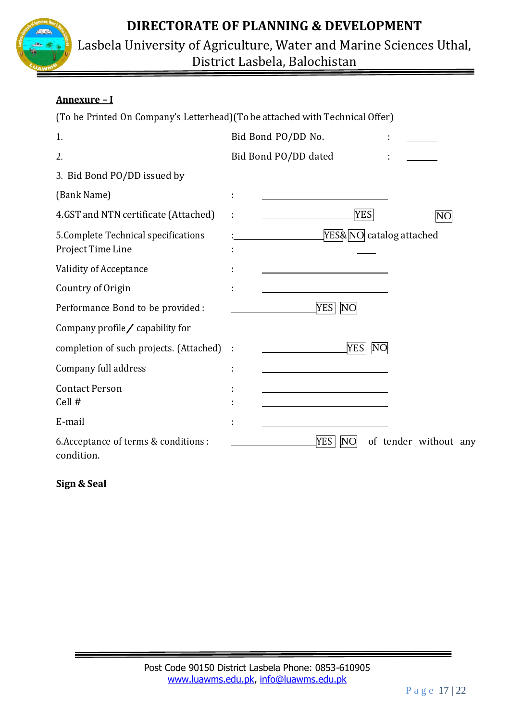



### **Annexure – I**

| (To be Printed On Company's Letterhead) (To be attached with Technical Offer) |                                      |
|-------------------------------------------------------------------------------|--------------------------------------|
| 1.                                                                            | Bid Bond PO/DD No.                   |
| 2.                                                                            | Bid Bond PO/DD dated                 |
| 3. Bid Bond PO/DD issued by                                                   |                                      |
| (Bank Name)                                                                   |                                      |
| 4.GST and NTN certificate (Attached)                                          | <b>YES</b>                           |
| 5. Complete Technical specifications<br>Project Time Line                     | YES&NO catalog attached              |
| Validity of Acceptance                                                        |                                      |
| Country of Origin                                                             |                                      |
| Performance Bond to be provided :                                             | <b>YES</b><br>NO                     |
| Company profile $\angle$ capability for                                       |                                      |
| completion of such projects. (Attached)                                       | <b>YES</b><br>N <sub>O</sub><br>÷    |
| Company full address                                                          | t                                    |
| <b>Contact Person</b><br>Cell #                                               |                                      |
| E-mail                                                                        |                                      |
| 6. Acceptance of terms & conditions :<br>condition.                           | YES  <br>NO<br>of tender without any |

**Sign & Seal**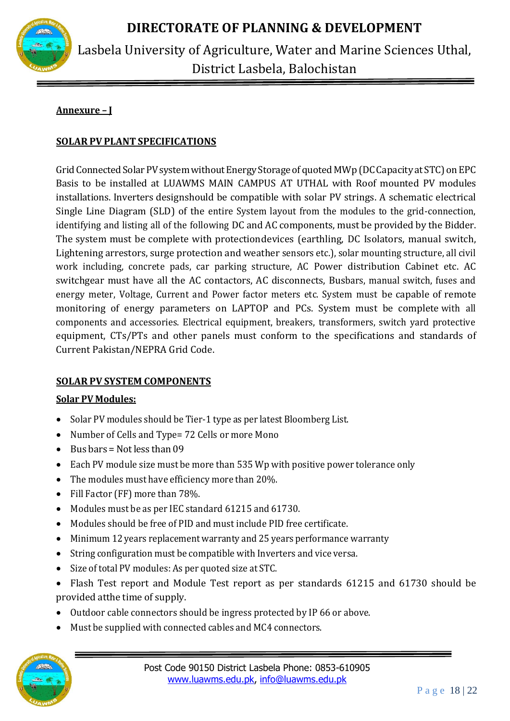

### **Annexure – J**

#### **SOLAR PV PLANT SPECIFICATIONS**

Grid Connected Solar PV system without Energy Storage of quoted MWp (DC Capacity at STC) on EPC Basis to be installed at LUAWMS MAIN CAMPUS AT UTHAL with Roof mounted PV modules installations. Inverters designshould be compatible with solar PV strings. A schematic electrical Single Line Diagram (SLD) of the entire System layout from the modules to the grid-connection, identifying and listing all of the following DC and AC components, must be provided by the Bidder. The system must be complete with protectiondevices (earthling, DC Isolators, manual switch, Lightening arrestors, surge protection and weather sensors etc.), solar mounting structure, all civil work including, concrete pads, car parking structure, AC Power distribution Cabinet etc. AC switchgear must have all the AC contactors, AC disconnects, Busbars, manual switch, fuses and energy meter, Voltage, Current and Power factor meters etc. System must be capable of remote monitoring of energy parameters on LAPTOP and PCs. System must be complete with all components and accessories. Electrical equipment, breakers, transformers, switch yard protective equipment, CTs/PTs and other panels must conform to the specifications and standards of Current Pakistan/NEPRA Grid Code.

#### **SOLAR PV SYSTEM COMPONENTS**

#### **Solar PV Modules:**

- Solar PV modules should be Tier-1 type as per latest Bloomberg List.
- Number of Cells and Type= 72 Cells or more Mono
- $\bullet$  Bus bars = Not less than 09
- Each PV module size must be more than 535 Wp with positive power tolerance only
- The modules must have efficiency more than 20%.
- Fill Factor (FF) more than 78%.
- Modules must be as per IEC standard 61215 and 61730.
- Modules should be free of PID and must include PID free certificate.
- Minimum 12 years replacement warranty and 25 years performance warranty
- String configuration must be compatible with Inverters and vice versa.
- Size of total PV modules: As per quoted size at STC.
- Flash Test report and Module Test report as per standards 61215 and 61730 should be provided atthe time of supply.
- Outdoor cable connectors should be ingress protected by IP 66 or above.
- Must be supplied with connected cables and MC4 connectors.

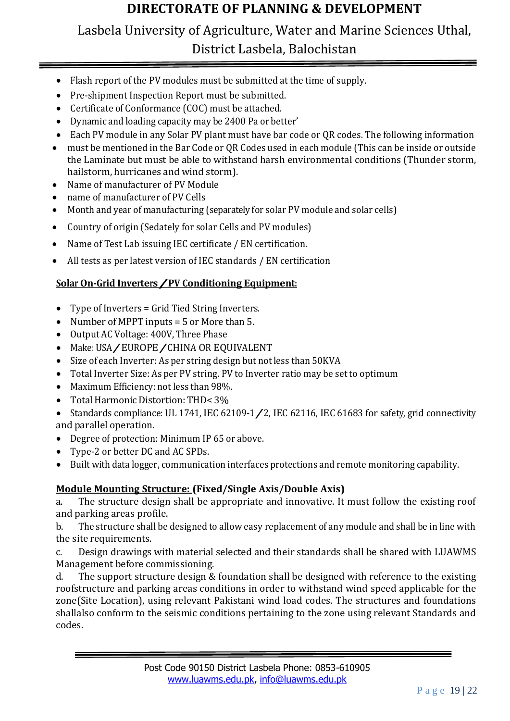# Lasbela University of Agriculture, Water and Marine Sciences Uthal, District Lasbela, Balochistan

- Flash report of the PV modules must be submitted at the time of supply.
- Pre-shipment Inspection Report must be submitted.
- Certificate of Conformance (COC) must be attached.
- Dynamic and loading capacity may be 2400 Pa or better'
- Each PV module in any Solar PV plant must have bar code or QR codes. The following information
- must be mentioned in the Bar Code or QR Codes used in each module (This can be inside or outside the Laminate but must be able to withstand harsh environmental conditions (Thunder storm, hailstorm, hurricanes and wind storm).
- Name of manufacturer of PV Module
- name of manufacturer of PV Cells
- Month and year of manufacturing (separately for solar PV module and solar cells)
- Country of origin (Sedately for solar Cells and PV modules)
- Name of Test Lab issuing IEC certificate / EN certification.
- All tests as per latest version of IEC standards / EN certification

#### **Solar On-Grid Inverters/PV Conditioning Equipment:**

- Type of Inverters = Grid Tied String Inverters.
- Number of MPPT inputs = 5 or More than 5.
- Output AC Voltage: 400V, Three Phase
- Make: USA/EUROPE/CHINA OR EQUIVALENT
- Size of each Inverter: As per string design but not less than 50KVA
- Total Inverter Size: As per PV string. PV to Inverter ratio may be set to optimum
- Maximum Efficiency: not less than 98%.
- Total Harmonic Distortion: THD< 3%
- Standards compliance: UL 1741, IEC 62109-1 / 2, IEC 62116, IEC 61683 for safety, grid connectivity and parallel operation.
- Degree of protection: Minimum IP 65 or above.
- Type-2 or better DC and AC SPDs.
- Built with data logger, communication interfaces protections and remote monitoring capability.

#### **Module Mounting Structure: (Fixed/Single Axis/Double Axis)**

a. The structure design shall be appropriate and innovative. It must follow the existing roof and parking areas profile.

b. The structure shall be designed to allow easy replacement of any module and shall be in line with the site requirements.

c. Design drawings with material selected and their standards shall be shared with LUAWMS Management before commissioning.

d. The support structure design & foundation shall be designed with reference to the existing roofstructure and parking areas conditions in order to withstand wind speed applicable for the zone(Site Location), using relevant Pakistani wind load codes. The structures and foundations shallalso conform to the seismic conditions pertaining to the zone using relevant Standards and codes.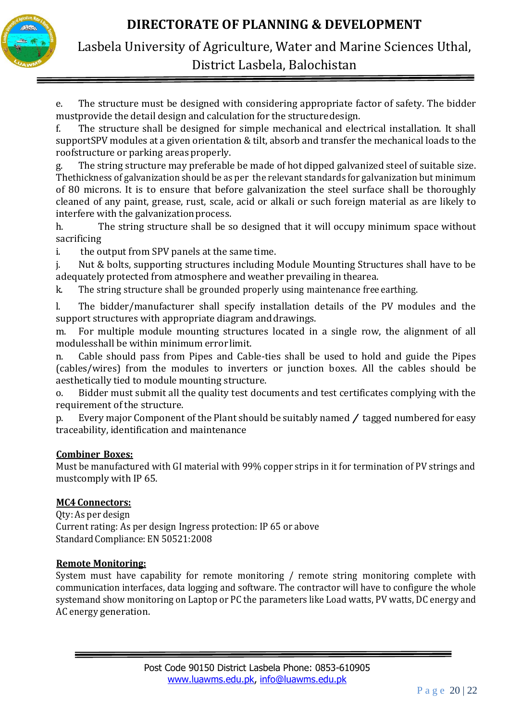



e. The structure must be designed with considering appropriate factor of safety. The bidder mustprovide the detail design and calculation for the structuredesign.

f. The structure shall be designed for simple mechanical and electrical installation. It shall supportSPV modules at a given orientation & tilt, absorb and transfer the mechanical loads to the roofstructure or parking areas properly.

g. The string structure may preferable be made of hot dipped galvanized steel of suitable size. Thethickness of galvanization should be as per the relevant standards for galvanization but minimum of 80 microns. It is to ensure that before galvanization the steel surface shall be thoroughly cleaned of any paint, grease, rust, scale, acid or alkali or such foreign material as are likely to interfere with the galvanization process.

h. The string structure shall be so designed that it will occupy minimum space without sacrificing

i. the output from SPV panels at the same time.

j. Nut & bolts, supporting structures including Module Mounting Structures shall have to be adequately protected from atmosphere and weather prevailing in thearea.

k. The string structure shall be grounded properly using maintenance free earthing.

l. The bidder/manufacturer shall specify installation details of the PV modules and the support structures with appropriate diagram anddrawings.

m. For multiple module mounting structures located in a single row, the alignment of all modulesshall be within minimum error limit.

n. Cable should pass from Pipes and Cable-ties shall be used to hold and guide the Pipes (cables/wires) from the modules to inverters or junction boxes. All the cables should be aesthetically tied to module mounting structure.

o. Bidder must submit all the quality test documents and test certificates complying with the requirement of the structure.

p. Every major Component of the Plant should be suitably named / tagged numbered for easy traceability, identification and maintenance

#### **Combiner Boxes:**

Must be manufactured with GI material with 99% copper strips in it for termination of PV strings and mustcomply with IP 65.

#### **MC4 Connectors:**

Qty: As per design Current rating: As per design Ingress protection: IP 65 or above Standard Compliance: EN 50521:2008

#### **Remote Monitoring:**

System must have capability for remote monitoring / remote string monitoring complete with communication interfaces, data logging and software. The contractor will have to configure the whole systemand show monitoring on Laptop or PC the parameters like Load watts, PV watts, DC energy and AC energy generation.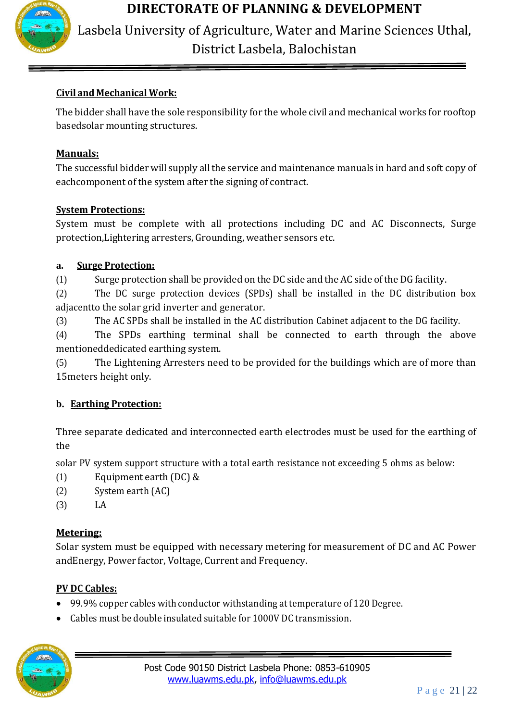

Lasbela University of Agriculture, Water and Marine Sciences Uthal, District Lasbela, Balochistan

## **Civil and Mechanical Work:**

The bidder shall have the sole responsibility for the whole civil and mechanical works for rooftop basedsolar mounting structures.

## **Manuals:**

The successful bidder will supply all the service and maintenance manuals in hard and soft copy of eachcomponent of the system after the signing of contract.

## **System Protections:**

System must be complete with all protections including DC and AC Disconnects, Surge protection,Lightering arresters, Grounding, weather sensors etc.

## **a. Surge Protection:**

(1) Surge protection shall be provided on theDC side and the AC side oftheDG facility.

(2) The DC surge protection devices (SPDs) shall be installed in the DC distribution box adjacentto the solar grid inverter and generator.

(3) The AC SPDs shall be installed in the AC distribution Cabinet adjacent to the DG facility.

(4) The SPDs earthing terminal shall be connected to earth through the above mentioneddedicated earthing system.

(5) The Lightening Arresters need to be provided for the buildings which are of more than 15meters height only.

## **b. Earthing Protection:**

Three separate dedicated and interconnected earth electrodes must be used for the earthing of the

solar PV system support structure with a total earth resistance not exceeding 5 ohms as below:

- (1) Equipment earth (DC) &
- (2) System earth (AC)
- (3) LA

## **Metering:**

Solar system must be equipped with necessary metering for measurement of DC and AC Power andEnergy, Power factor, Voltage, Current and Frequency.

## **PV DC Cables:**

- 99.9% copper cables with conductor withstanding at temperature of 120 Degree.
- Cables must be double insulated suitable for 1000V DC transmission.